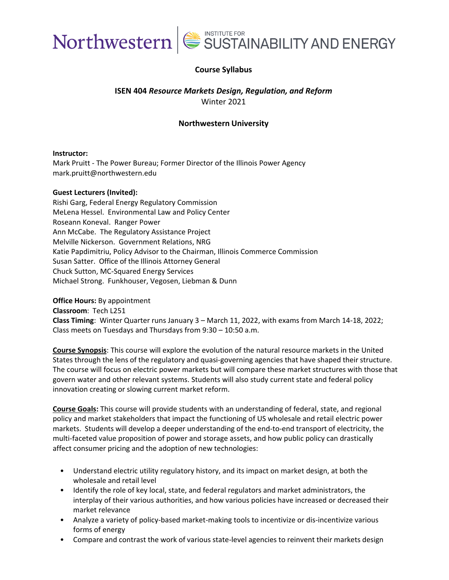

#### **Course Syllabus**

#### **ISEN 404** *Resource Markets Design, Regulation, and Reform* Winter 2021

#### **Northwestern University**

#### **Instructor:**

Mark Pruitt - The Power Bureau; Former Director of the Illinois Power Agency mark.pruitt@northwestern.edu

#### **[Guest](https://www.linkedin.com/in/eric-stephens-b47a58b/) Lecturers (Invited):**

Rishi Garg, Federal Energy Regulatory Commission MeLena Hessel. Environmental Law and Policy Center Roseann Koneval. Ranger Power Ann McCabe. The Regulatory Assistance Project Melville Nickerson. Government Relations, NRG Katie Papdimitriu, Policy Advisor to the Chairman, Illinois Commerce Commission Susan Satter. Office of the Illinois [Attorney](https://www.linkedin.com/in/kenneth-colburn-63b79530/) General Chuck Sutton, MC-Squared Energy Services [Michael S](https://www.linkedin.com/in/mark-pruitt-2558756/)trong. Funkhouser, Vegosen, Liebman & Dunn

**Office Hours:** By [appointment](https://www.linkedin.com/in/sue-gander-922374a/) **Classroom**: Tech L251 **Class Timing**: Winter Quarter runs January 3 – March 11, 2022, with exams from March 14-18, 2022; Class meets on Tuesdays and Thursdays from 9:30 – 10:50 a.m.

**Course Synopsis**: This course will explore the evolution of the natural resource markets in the United States through the lens of the regulatory and quasi-governing agencies that have shaped their structure. The course will focus on electric power markets but will compare these market structures with those that govern water and other relevant systems. Students will also study current state and federal policy innovation creating or slowing current market reform.

**Course Goals:** This course will provide students with an understanding of federal, state, and regional policy and market stakeholders that impact the functioning of US wholesale and retail electric power markets. Students will develop a deeper understanding of the end-to-end transport of electricity, the multi-faceted value proposition of power and storage assets, and how public policy can drastically affect consumer pricing and the adoption of new technologies:

- Understand electric utility regulatory history, and its impact on market design, at both the wholesale and retail level
- Identify the role of key local, state, and federal regulators and market administrators, the interplay of their various authorities, and how various policies have increased or decreased their market relevance
- Analyze a variety of policy-based market-making tools to incentivize or dis-incentivize various forms of energy
- Compare and contrast the work of various state-level agencies to reinvent their markets design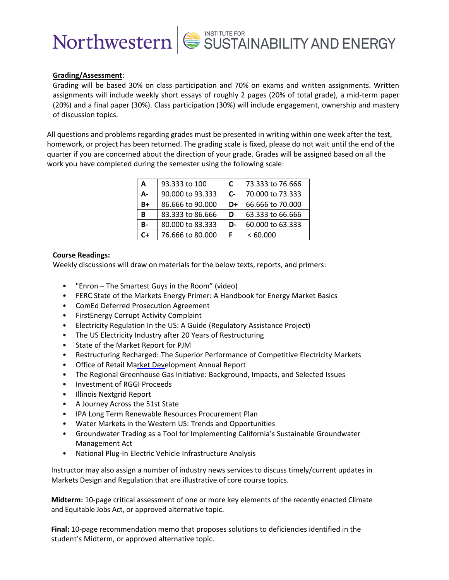#### **Grading/Assessment**:

Grading will be based 30% on class participation and 70% on exams and written assignments. Written assignments will include weekly short essays of roughly 2 pages (20% of total grade), a mid-term paper (20%) and a final paper (30%). Class participation (30%) will include engagement, ownership and mastery of discussion topics.

All questions and problems regarding grades must be presented in writing within one week after the test, homework, or project has been returned. The grading scale is fixed, please do not wait until the end of the quarter if you are concerned about the direction of your grade. Grades will be assigned based on all the work you have completed during the semester using the following scale:

| A     | 93.333 to 100    | C  | 73.333 to 76.666 |
|-------|------------------|----|------------------|
| А-    | 90,000 to 93,333 | C- | 70,000 to 73,333 |
| B+    | 86.666 to 90.000 | D+ | 66.666 to 70.000 |
| B     | 83.333 to 86.666 | D  | 63.333 to 66.666 |
| B-    | 80.000 to 83.333 | D- | 60,000 to 63,333 |
| $C +$ | 76.666 to 80.000 |    | <60.000          |

#### **Course Readings:**

Weekly discussions will draw on materials for the below texts, reports, and primers:

- "Enron The Smartest Guys in the Room" (video)
- FERC State of the Markets Energy Primer: A Handbook for Energy Market Basics
- ComEd Deferred Prosecution Agreement
- FirstEnergy Corrupt Activity Complaint
- Electricity Regulation In the US: A Guide (Regulatory Assistance Project)
- The US Electricity Industry after 20 Years of Restructuring
- State of the Market Report for PJM
- Restructuring Recharged: The Superior Performance of Competitive Electricity Markets
- Office of Retail Market Development Annual Report
- The Regional Greenhouse Gas Initiative: Background, Impacts, and Selected Issues
- Investment of RGGI Proceeds
- Illinois Nextgrid Report
- A Journey Across the 51st State
- IPA Long Term Renewable Resources Procurement Plan
- Water Markets in the Western US: Trends and Opportunities
- Groundwater Trading as a Tool for Implementing California's Sustainable Groundwater Management Act
- National Plug-In Electric Vehicle Infrastructure Analysis

Instructor may also assign a number of industry news services to discuss timely/current updates in Markets Design and Regulation that are illustrative of core course topics.

**Midterm:** 10-page critical assessment of one or more key elements of the recently enacted Climate and Equitable Jobs Act, or approved alternative topic.

**Final:** 10-page recommendation memo that proposes solutions to deficiencies identified in the student's Midterm, or approved alternative topic.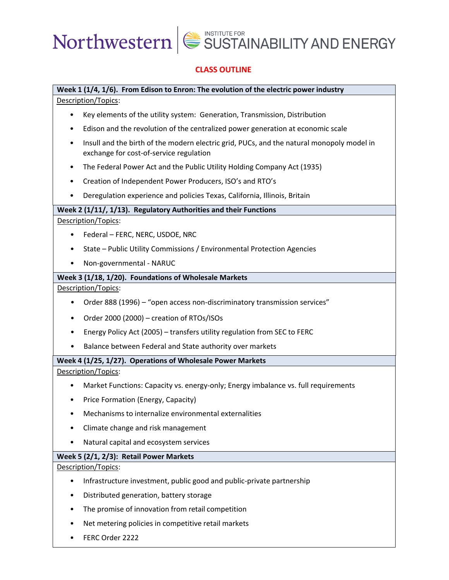#### **CLASS OUTLINE**

### **Week 1 (1/4, 1/6). From Edison to Enron: The evolution of the electric power industry**

Description/Topics:

- Key elements of the utility system: Generation, Transmission, Distribution
- Edison and the revolution of the centralized power generation at economic scale
- Insull and the birth of the modern electric grid, PUCs, and the natural monopoly model in exchange for cost-of-service regulation
- The Federal Power Act and the Public Utility Holding Company Act (1935)
- Creation of Independent Power Producers, ISO's and RTO's
- Deregulation experience and policies Texas, California, Illinois, Britain

#### **Week 2 (1/11/, 1/13). Regulatory Authorities and their Functions**

Description/Topics:

- Federal FERC, NERC, USDOE, NRC
- State Public Utility Commissions / Environmental Protection Agencies
- Non-governmental NARUC

#### **Week 3 (1/18, 1/20). Foundations of Wholesale Markets**

Description/Topics:

- Order 888 (1996) "open access non-discriminatory transmission services"
- Order 2000 (2000) creation of RTOs/ISOs
- Energy Policy Act (2005) transfers utility regulation from SEC to FERC
- Balance between Federal and State authority over markets

#### **Week 4 (1/25, 1/27). Operations of Wholesale Power Markets**

Description/Topics:

- Market Functions: Capacity vs. energy-only; Energy imbalance vs. full requirements
- Price Formation (Energy, Capacity)
- Mechanisms to internalize environmental externalities
- Climate change and risk management
- Natural capital and ecosystem services

#### **Week 5 (2/1, 2/3): Retail Power Markets**

Description/Topics:

- Infrastructure investment, public good and public-private partnership
- Distributed generation, battery storage
- The promise of innovation from retail competition
- Net metering policies in competitive retail markets
- FERC Order 2222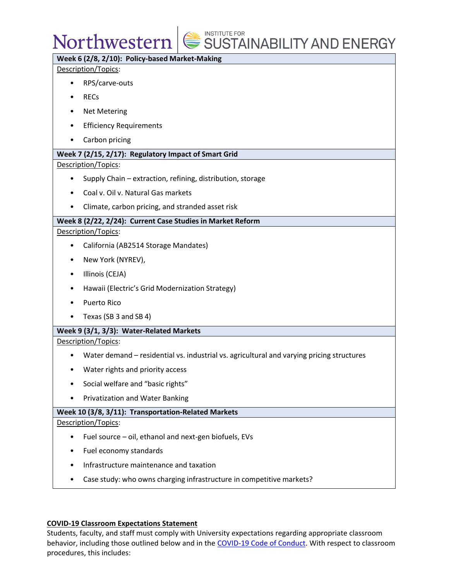### Northwestern

### SUSTAINABILITY AND ENERGY

#### **Week 6 (2/8, 2/10): Policy-based Market-Making**

Description/Topics:

- RPS/carve-outs
- RECs
- Net Metering
- Efficiency Requirements
- Carbon pricing

#### **Week 7 (2/15, 2/17): Regulatory Impact of Smart Grid**

Description/Topics:

- Supply Chain extraction, refining, distribution, storage
- Coal v. Oil v. Natural Gas markets
- Climate, carbon pricing, and stranded asset risk

#### **Week 8 (2/22, 2/24): Current Case Studies in Market Reform**

Description/Topics:

- California (AB2514 Storage Mandates)
- New York (NYREV),
- Illinois (CEJA)
- Hawaii (Electric's Grid Modernization Strategy)
- Puerto Rico
- Texas (SB 3 and SB 4)

#### **Week 9 (3/1, 3/3): Water-Related Markets**

Description/Topics:

- Water demand residential vs. industrial vs. agricultural and varying pricing structures
- Water rights and priority access
- Social welfare and "basic rights"
- Privatization and Water Banking

#### **Week 10 (3/8, 3/11): Transportation-Related Markets**

#### Description/Topics:

- Fuel source oil, ethanol and next-gen biofuels, EVs
- Fuel economy standards
- Infrastructure maintenance and taxation
- Case study: who owns charging infrastructure in competitive markets?

#### **COVID-19 Classroom Expectations Statement**

Students, faculty, and staff must comply with University expectations regarding appropriate classroom behavior, including those outlined below and in the [COVID-19 Code of Conduct.](https://www.northwestern.edu/communitystandards/about-us/northwestern-university-student-expectations-covid-19-code-of-conduct.html) With respect to classroom procedures, this includes: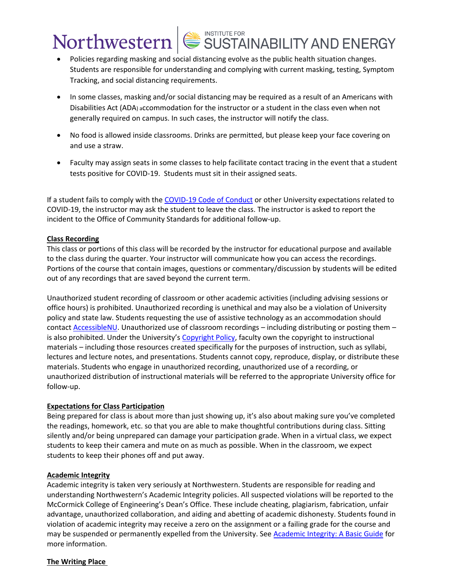- Policies regarding masking and social distancing evolve as the public health situation changes. Students are responsible for understanding and complying with current masking, testing, Symptom Tracking, and social distancing requirements.
- In some classes, masking and/or social distancing may be required as a result of an Americans with Disabilities Act (ADA) accommodation for the instructor or a student in the class even when not generally required on campus. In such cases, the instructor will notify the class.
- No food is allowed inside classrooms. Drinks are permitted, but please keep your face covering on and use a straw.
- Faculty may assign seats in some classes to help facilitate contact tracing in the event that a student tests positive for COVID-19. Students must sit in their assigned seats.

If a student fails to comply with the [COVID-19 Code of Conduct](https://www.northwestern.edu/communitystandards/about-us/northwestern-university-student-expectations-covid-19-code-of-conduct.html) or other University expectations related to COVID-19, the instructor may ask the student to leave the class. The instructor is asked to report the incident to the Office of Community Standards for additional follow-up.

#### **Class Recording**

This class or portions of this class will be recorded by the instructor for educational purpose and available to the class during the quarter. Your instructor will communicate how you can access the recordings. Portions of the course that contain images, questions or commentary/discussion by students will be edited out of any recordings that are saved beyond the current term.

Unauthorized student recording of classroom or other academic activities (including advising sessions or office hours) is prohibited. Unauthorized recording is unethical and may also be a violation of University policy and state law. Students requesting the use of assistive technology as an accommodation should contact [AccessibleNU.](https://www.northwestern.edu/accessiblenu/) Unauthorized use of classroom recordings – including distributing or posting them – is also prohibited. Under the University's [Copyright Policy,](https://www.invo.northwestern.edu/invention-disclosure/policies-forms/copyright-policy/) faculty own the copyright to instructional materials – including those resources created specifically for the purposes of instruction, such as syllabi, lectures and lecture notes, and presentations. Students cannot copy, reproduce, display, or distribute these materials. Students who engage in unauthorized recording, unauthorized use of a recording, or unauthorized distribution of instructional materials will be referred to the appropriate University office for follow-up.

#### **Expectations for Class Participation**

Being prepared for class is about more than just showing up, it's also about making sure you've completed the readings, homework, etc. so that you are able to make thoughtful contributions during class. Sitting silently and/or being unprepared can damage your participation grade. When in a virtual class, we expect students to keep their camera and mute on as much as possible. When in the classroom, we expect students to keep their phones off and put away.

#### **Academic Integrity**

Academic integrity is taken very seriously at Northwestern. Students are responsible for reading and understanding Northwestern's Academic Integrity policies. All suspected violations will be reported to the McCormick College of Engineering's Dean's Office. These include cheating, plagiarism, fabrication, unfair advantage, unauthorized collaboration, and aiding and abetting of academic dishonesty. Students found in violation of academic integrity may receive a zero on the assignment or a failing grade for the course and may be suspended or permanently expelled from the University. See [Academic Integrity: A Basic Guide](https://www.northwestern.edu/provost/policies/academic-integrity/Academic-Integrity-Guide-August-2019.pdf) for more information.

#### **The Writing Place**